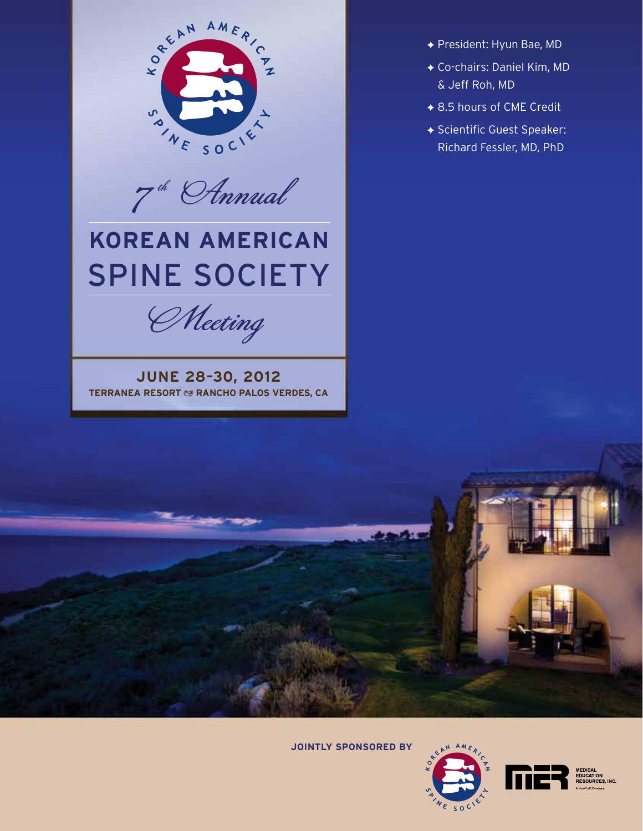

 $7^{\frac{th}{6}}$  Annual

# **Korean American** SPINE SOCIETY

Meeting

**June 28–30, 2012 TERRANEA RESORT @ RANCHO PALOS VERDES, CA** 

- ◆ President: Hyun Bae, MD
- F Co-chairs: Daniel Kim, MD & Jeff Roh, MD
- ◆ 8.5 hours of CME Credit
- ◆ Scientific Guest Speaker: Richard Fessler, MD, PhD

**Jointly Sponsored by**





EDUCATION<br>RESOURCES, INC.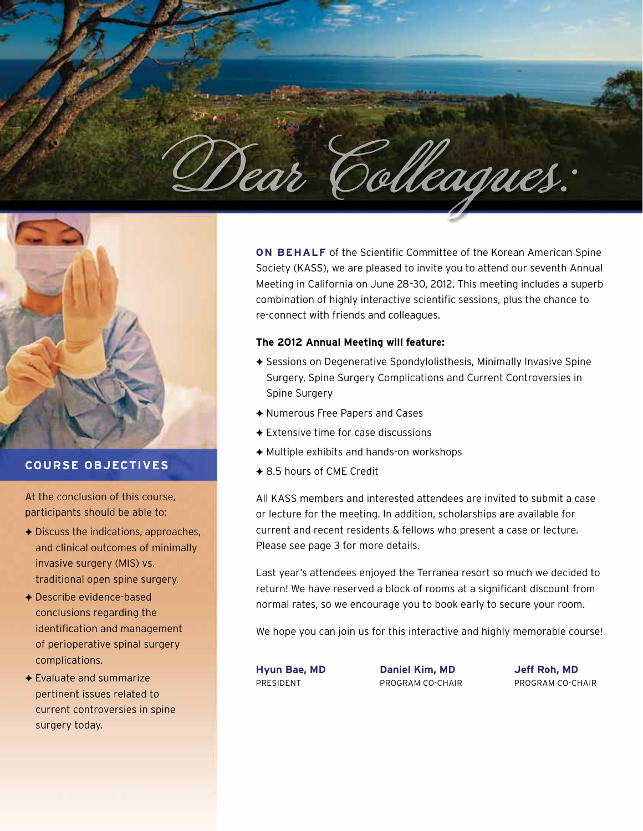



### **Course Objectives**

At the conclusion of this course, participants should be able to:

- $\rightarrow$  Discuss the indications, approaches, and clinical outcomes of minimally invasive surgery (MIS) vs. traditional open spine surgery.
- $\rightarrow$  Describe evidence-based conclusions regarding the identification and management of perioperative spinal surgery complications.
- $\triangle$  Evaluate and summarize pertinent issues related to current controversies in spine surgery today.

**ON BEHALF** of the Scientific Committee of the Korean American Spine Society (KASS), we are pleased to invite you to attend our seventh Annual Meeting in California on June 28–30, 2012. This meeting includes a superb combination of highly interactive scientific sessions, plus the chance to re-connect with friends and colleagues.

#### **The 2012 Annual Meeting will feature:**

- ◆ Sessions on Degenerative Spondylolisthesis, Minimally Invasive Spine Surgery, Spine Surgery Complications and Current Controversies in Spine Surgery
- ◆ Numerous Free Papers and Cases
- $\triangle$  Extensive time for case discussions
- $\triangle$  Multiple exhibits and hands-on workshops
- ◆ 8.5 hours of CME Credit

All KASS members and interested attendees are invited to submit a case or lecture for the meeting. In addition, scholarships are available for current and recent residents & fellows who present a case or lecture. Please see page 3 for more details.

Last year's attendees enjoyed the Terranea resort so much we decided to return! We have reserved a block of rooms at a significant discount from normal rates, so we encourage you to book early to secure your room.

We hope you can join us for this interactive and highly memorable course!

**Hyun Bae, MD Daniel Kim, MD Jeff Roh, MD**

PRESIDENT PROGRAM CO-CHAIR PROGRAM CO-CHAIR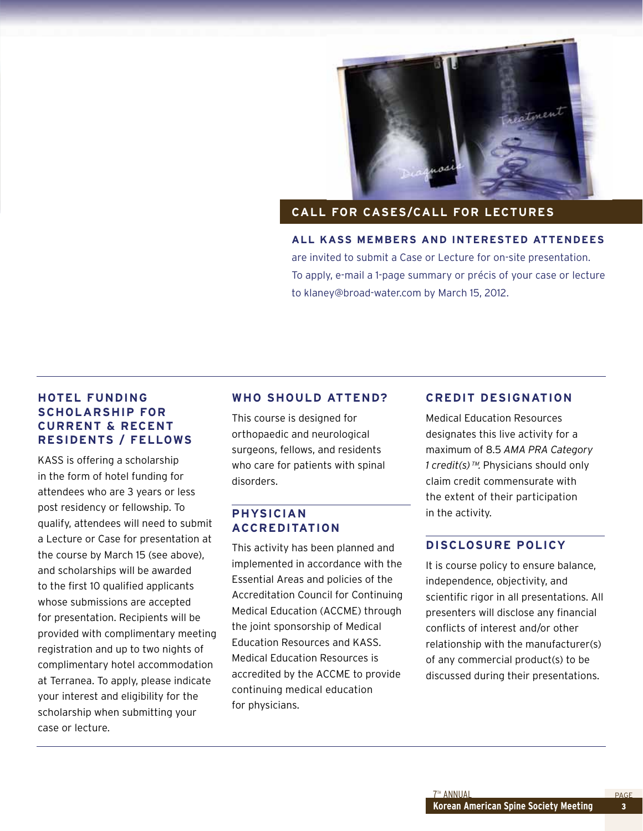

#### **Call for Cases/Call for Lectures**

**All KASS members and interested attendees** are invited to submit a Case or Lecture for on-site presentation. To apply, e-mail a 1-page summary or précis of your case or lecture to klaney@broad-water.com by March 15, 2012.

### **Hotel Funding Scholarship for Current & Recent Residents / Fellows**

KASS is offering a scholarship in the form of hotel funding for attendees who are 3 years or less post residency or fellowship. To qualify, attendees will need to submit a Lecture or Case for presentation at the course by March 15 (see above), and scholarships will be awarded to the first 10 qualified applicants whose submissions are accepted for presentation. Recipients will be provided with complimentary meeting registration and up to two nights of complimentary hotel accommodation at Terranea. To apply, please indicate your interest and eligibility for the scholarship when submitting your case or lecture.

#### **Who Should Attend?**

This course is designed for orthopaedic and neurological surgeons, fellows, and residents who care for patients with spinal disorders.

### **Physician Accreditation**

This activity has been planned and implemented in accordance with the Essential Areas and policies of the Accreditation Council for Continuing Medical Education (ACCME) through the joint sponsorship of Medical Education Resources and KASS. Medical Education Resources is accredited by the ACCME to provide continuing medical education for physicians.

#### **Credit Designation**

Medical Education Resources designates this live activity for a maximum of 8.5 *AMA PRA Category 1 credit(s)*™. Physicians should only claim credit commensurate with the extent of their participation in the activity.

#### **Disclosure Policy**

It is course policy to ensure balance, independence, objectivity, and scientific rigor in all presentations. All presenters will disclose any financial conflicts of interest and/or other relationship with the manufacturer(s) of any commercial product(s) to be discussed during their presentations.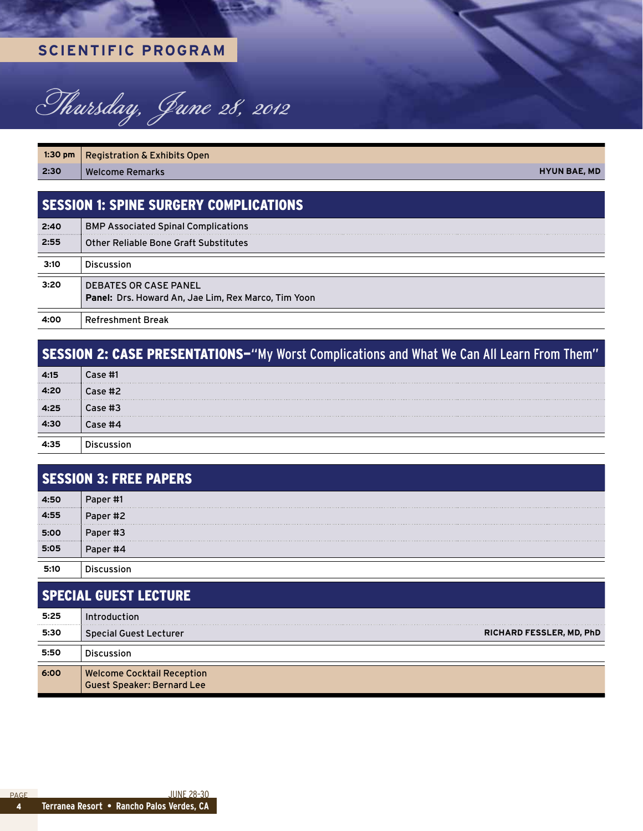### **Scientific PROGRAM**



1:30 pm | Registration & Exhibits Open **2:30** Welcome Remarks **Hyun Bae, MD**

Session 1: Spine Surgery Complications

| 2:40 | <b>BMP Associated Spinal Complications</b>                                          |
|------|-------------------------------------------------------------------------------------|
| 2:55 | <b>Other Reliable Bone Graft Substitutes</b>                                        |
| 3:10 | <b>Discussion</b>                                                                   |
| 3:20 | <b>DEBATES OR CASE PANEL</b><br>Panel: Drs. Howard An, Jae Lim, Rex Marco, Tim Yoon |
| 4:00 | <b>Refreshment Break</b>                                                            |

### SESSION 2: CASE PRESENTATIONS-"My Worst Complications and What We Can All Learn From Them" **4:15** Case #1 **4:20** Case #2 **4:25** Case #3 **4:30** Case #4 **4:35** Discussion

| <b>SESSION 3: FREE PAPERS</b> |          |  |
|-------------------------------|----------|--|
| 4:50                          | Paper #1 |  |
| 4:55                          | Paper #2 |  |
| 5:00                          | Paper #3 |  |
| 5:05                          | Paper #4 |  |
| 5:10                          |          |  |

### Special Guest Lecture **5:25** Introduction **5:30** Special Guest Lecturer **Richard fessler, MD, Phd 5:50** Discussion

**6:00** Welcome Cocktail Reception Guest Speaker: Bernard Lee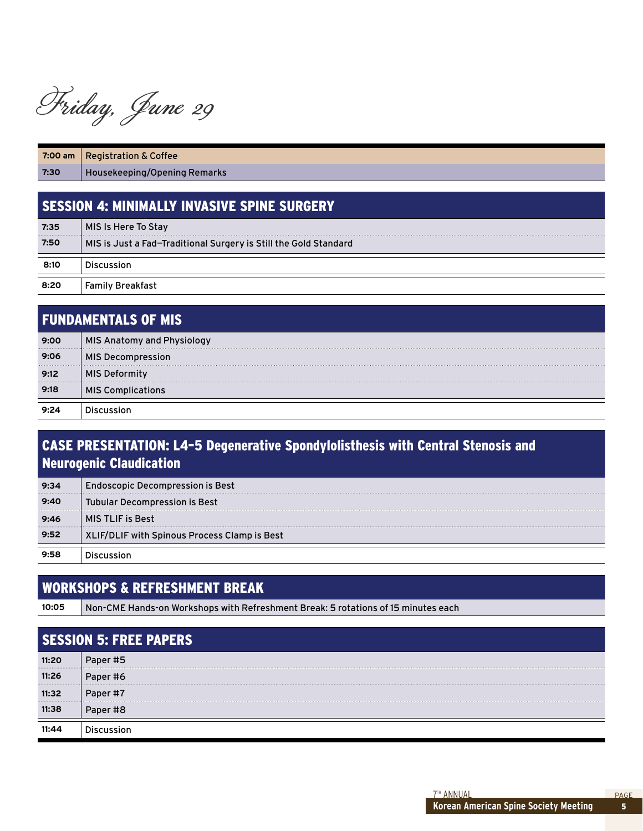Friday, June 29

|                                               | 7:00 am   Registration & Coffee |  |  |
|-----------------------------------------------|---------------------------------|--|--|
| 7:30                                          | Housekeeping/Opening Remarks    |  |  |
|                                               |                                 |  |  |
| I SESSION 4: MINIMALLY INVASIVE SPINE SURGERY |                                 |  |  |
|                                               |                                 |  |  |
| 7:35                                          | MIS Is Here To Stay             |  |  |

**8:20** Family Breakfast

**8:10** Discussion

| <b>FUNDAMENTALS OF MIS</b> |                                   |
|----------------------------|-----------------------------------|
| 9:00<br>                   | <b>MIS Anatomy and Physiology</b> |
| 9:06                       | <b>MIS Decompression</b>          |
| 9:12                       | <b>MIS Deformity</b>              |
| 9:18                       | <b>MIS Complications</b>          |
|                            |                                   |

### Case Presentation: L4–5 Degenerative Spondylolisthesis with Central Stenosis and Neurogenic Claudication

| 9:34 | <b>Endoscopic Decompression is Best</b>      |
|------|----------------------------------------------|
| 9:40 | Tubular Decompression is Best                |
| 9:46 | <b>MIS TLIF is Best</b>                      |
| 9:52 | XLIF/DLIF with Spinous Process Clamp is Best |
| 9:58 |                                              |

### Workshops & Refreshment Break

**10:05** Non-CME Hands-on Workshops with Refreshment Break: 5 rotations of 15 minutes each

| <b>SESSION 5: FREE PAPERS</b> |          |  |
|-------------------------------|----------|--|
| 11:20<br>                     | Paper #5 |  |
| 11:26                         | Paper #6 |  |
| 11:32                         | Paper #7 |  |
| 11:38                         | Paper #8 |  |
|                               |          |  |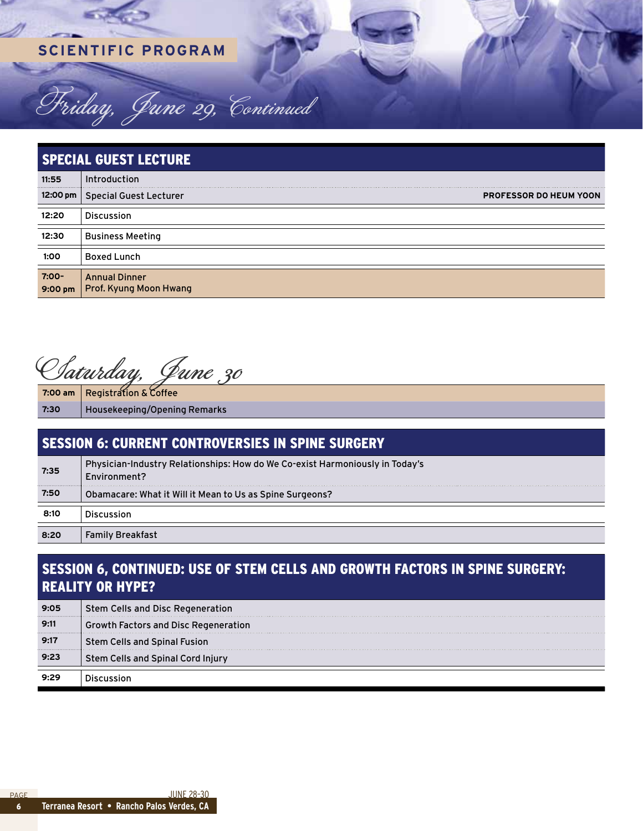### **Scientific PROGRAM**

Friday, June 29, Continued

| <b>SPECIAL GUEST LECTURE</b> |                                                |                               |
|------------------------------|------------------------------------------------|-------------------------------|
| 11:55                        | Introduction                                   |                               |
|                              | 12:00 pm   Special Guest Lecturer              | <b>PROFESSOR DO HEUM YOON</b> |
| 12:20                        | <b>Discussion</b>                              |                               |
| 12:30                        | <b>Business Meeting</b>                        |                               |
| 1:00                         | <b>Boxed Lunch</b>                             |                               |
| $7:00-$<br>9:00 pm           | <b>Annual Dinner</b><br>Prof. Kyung Moon Hwang |                               |

Saturday, June 30

**7:00 am** Registration & Coffee **7:30** Housekeeping/Opening Remarks

| <b>SESSION 6: CURRENT CONTROVERSIES IN SPINE SURGERY</b> |                                                                                              |  |
|----------------------------------------------------------|----------------------------------------------------------------------------------------------|--|
| 7:35                                                     | Physician-Industry Relationships: How do We Co-exist Harmoniously in Today's<br>Environment? |  |
| 7:50                                                     | Obamacare: What it Will it Mean to Us as Spine Surgeons?                                     |  |
| 8:10                                                     | <b>Discussion</b>                                                                            |  |
| 8:20                                                     | <b>Family Breakfast</b>                                                                      |  |

### Session 6, Continued: Use of Stem Cells and Growth Factors in Spine Surgery: Reality or Hype?

| 9:05 | Stem Cells and Disc Regeneration     |
|------|--------------------------------------|
| 9:11 | Growth Factors and Disc Regeneration |
| 9:17 | Stem Cells and Spinal Fusion         |
| 9:23 | Stem Cells and Spinal Cord Injury    |
|      |                                      |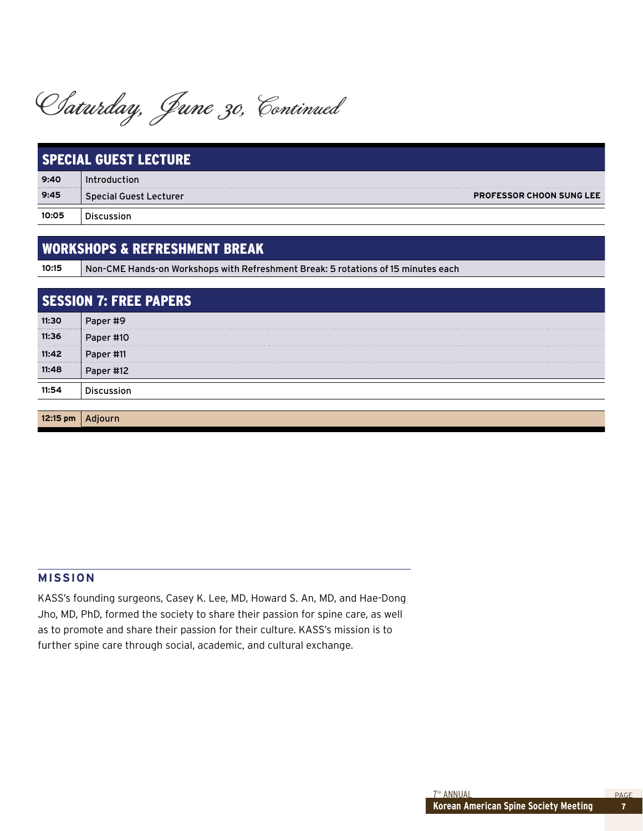Saturday, June 30, Continued

| <b>SPECIAL GUEST LECTURE</b> |                               |                                 |
|------------------------------|-------------------------------|---------------------------------|
| 9:40                         | duction                       |                                 |
| 9:45                         | <b>Special Guest Lecturer</b> | <b>PROFESSOR CHOON SUNG LEE</b> |
| 10:05                        |                               |                                 |

### Workshops & Refreshment Break

**10:15** Non-CME Hands-on Workshops with Refreshment Break: 5 rotations of 15 minutes each

| <b>SESSION 7: FREE PAPERS</b> |           |  |
|-------------------------------|-----------|--|
| 11:30                         | Paper #9  |  |
| 11:36                         | Paper #10 |  |
| 11:42                         | Paper #11 |  |
| 11:48                         | Paper #12 |  |
| 1:54                          |           |  |
|                               |           |  |
|                               |           |  |

#### **MISSION**

KASS's founding surgeons, Casey K. Lee, MD, Howard S. An, MD, and Hae-Dong Jho, MD, PhD, formed the society to share their passion for spine care, as well as to promote and share their passion for their culture. KASS's mission is to further spine care through social, academic, and cultural exchange.

7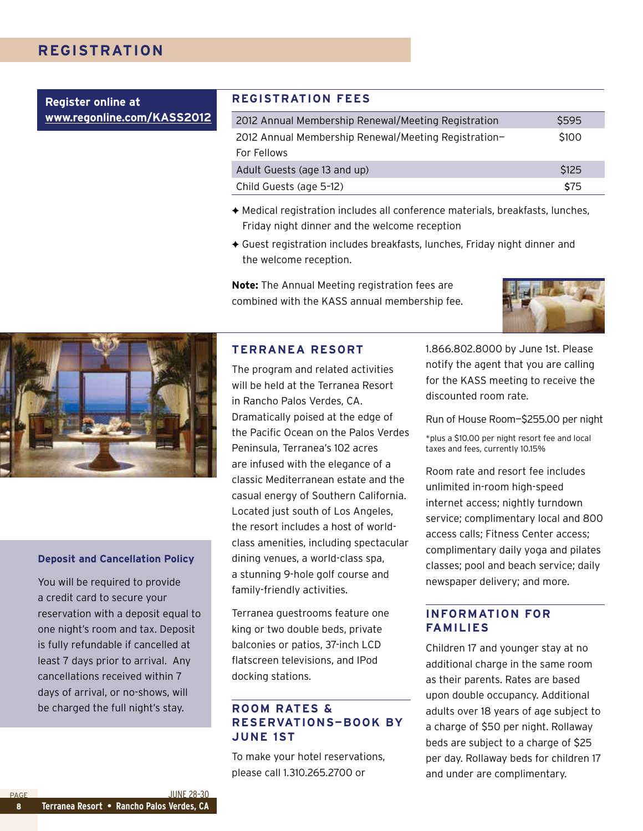### **Registration**

**Register online at [www.regonline.com/KASS201](http://www.regonline.com/KASS2012)2**

#### **Registration Fees**

| 2012 Annual Membership Renewal/Meeting Registration  | S595  |
|------------------------------------------------------|-------|
| 2012 Annual Membership Renewal/Meeting Registration- | \$100 |
| For Fellows                                          |       |
| Adult Guests (age 13 and up)                         | \$125 |
| Child Guests (age 5-12)                              | \$75  |

- ◆ Medical registration includes all conference materials, breakfasts, lunches, Friday night dinner and the welcome reception
- $\triangle$  Guest registration includes breakfasts, lunches, Friday night dinner and the welcome reception.

**Note:** The Annual Meeting registration fees are combined with the KASS annual membership fee.





#### **Deposit and Cancellation Policy**

You will be required to provide a credit card to secure your reservation with a deposit equal to one night's room and tax. Deposit is fully refundable if cancelled at least 7 days prior to arrival. Any cancellations received within 7 days of arrival, or no-shows, will be charged the full night's stay.

#### **Terranea Resort**

The program and related activities will be held at the Terranea Resort in Rancho Palos Verdes, CA. Dramatically poised at the edge of the Pacific Ocean on the Palos Verdes Peninsula, Terranea's 102 acres are infused with the elegance of a classic Mediterranean estate and the casual energy of Southern California. Located just south of Los Angeles, the resort includes a host of worldclass amenities, including spectacular dining venues, a world-class spa, a stunning 9-hole golf course and family-friendly activities.

Terranea guestrooms feature one king or two double beds, private balconies or patios, 37-inch LCD flatscreen televisions, and IPod docking stations.

### **Room Rates & Reservations—Book by June 1st**

To make your hotel reservations, please call 1.310.265.2700 or

1.866.802.8000 by June 1st. Please notify the agent that you are calling for the KASS meeting to receive the discounted room rate.

Run of House Room—\$255.00 per night

\*plus a \$10.00 per night resort fee and local taxes and fees, currently 10.15%

Room rate and resort fee includes unlimited in-room high-speed internet access; nightly turndown service; complimentary local and 800 access calls; Fitness Center access; complimentary daily yoga and pilates classes; pool and beach service; daily newspaper delivery; and more.

### **Information for Families**

Children 17 and younger stay at no additional charge in the same room as their parents. Rates are based upon double occupancy. Additional adults over 18 years of age subject to a charge of \$50 per night. Rollaway beds are subject to a charge of \$25 per day. Rollaway beds for children 17 and under are complimentary.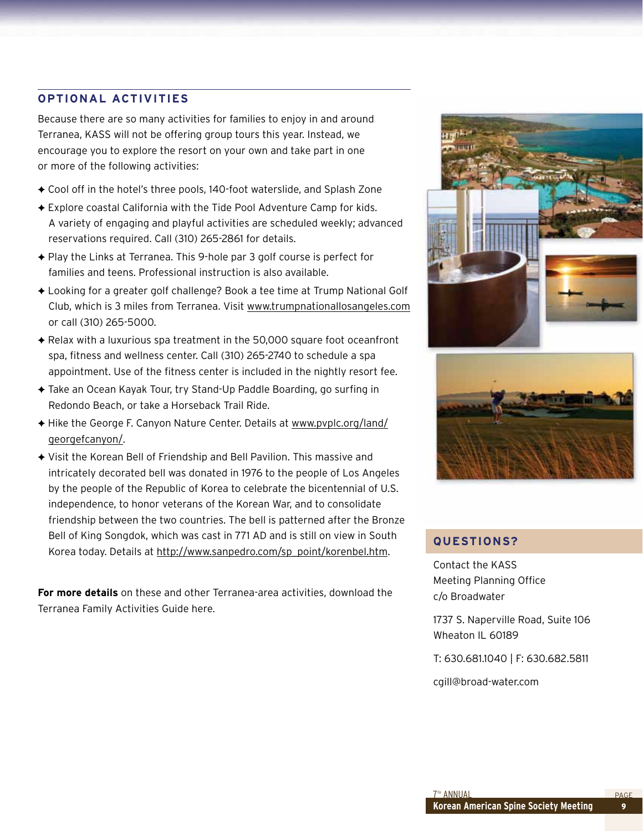### **Optional Activities**

Because there are so many activities for families to enjoy in and around Terranea, KASS will not be offering group tours this year. Instead, we encourage you to explore the resort on your own and take part in one or more of the following activities:

- ◆ Cool off in the hotel's three pools, 140-foot waterslide, and Splash Zone
- ◆ Explore coastal California with the Tide Pool Adventure Camp for kids. A variety of engaging and playful activities are scheduled weekly; advanced reservations required. Call (310) 265-2861 for details.
- $\triangle$  Play the Links at Terranea. This 9-hole par 3 golf course is perfect for families and teens. Professional instruction is also available.
- ◆ Looking for a greater golf challenge? Book a tee time at Trump National Golf Club, which is 3 miles from Terranea. Visit [www.trumpnationallosangeles.com](http://www.trumpnationallosangeles.com) or call (310) 265-5000.
- ◆ Relax with a luxurious spa treatment in the 50,000 square foot oceanfront spa, fitness and wellness center. Call (310) 265-2740 to schedule a spa appointment. Use of the fitness center is included in the nightly resort fee.
- ◆ Take an Ocean Kayak Tour, try Stand-Up Paddle Boarding, go surfing in Redondo Beach, or take a Horseback Trail Ride.
- ◆ Hike the George F. Canyon Nature Center. Details at [www.pvplc.org/land/](http://www.pvplc.org/land/georgefcanyon/) [georgefcanyon/](http://www.pvplc.org/land/georgefcanyon/).
- ◆ Visit the Korean Bell of Friendship and Bell Pavilion. This massive and intricately decorated bell was donated in 1976 to the people of Los Angeles by the people of the Republic of Korea to celebrate the bicentennial of U.S. independence, to honor veterans of the Korean War, and to consolidate friendship between the two countries. The bell is patterned after the Bronze Bell of King Songdok, which was cast in 771 AD and is still on view in South Korea today. Details at [http://www.sanpedro.com/sp\\_point/korenbel.htm](http://www.sanpedro.com/sp_point/korenbel.htm).

**For more details** on these and other Terranea-area activities, download the Terranea Family Activities Guide here.





### **Questions?**

Contact the KASS Meeting Planning Office c/o Broadwater

1737 S. Naperville Road, Suite 106 Wheaton IL 60189

T: 630.681.1040 | F: 630.682.5811

cgill@broad-water.com